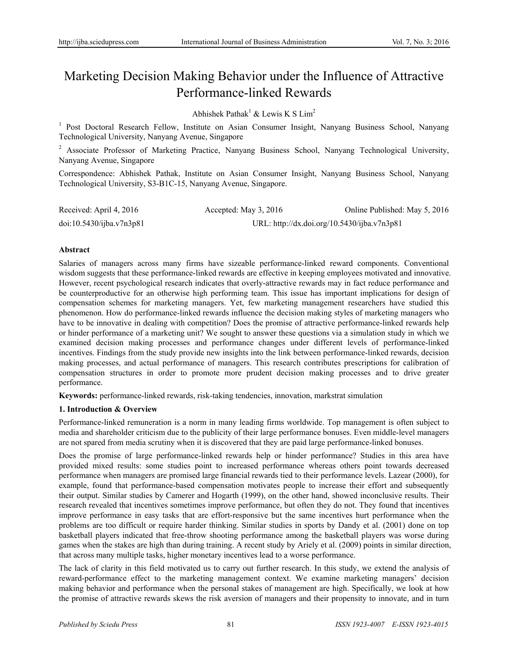# Marketing Decision Making Behavior under the Influence of Attractive Performance-linked Rewards

Abhishek Pathak<sup>1</sup> & Lewis K S Lim<sup>2</sup>

<sup>1</sup> Post Doctoral Research Fellow, Institute on Asian Consumer Insight, Nanyang Business School, Nanyang Technological University, Nanyang Avenue, Singapore

<sup>2</sup> Associate Professor of Marketing Practice, Nanyang Business School, Nanyang Technological University, Nanyang Avenue, Singapore

Correspondence: Abhishek Pathak, Institute on Asian Consumer Insight, Nanyang Business School, Nanyang Technological University, S3-B1C-15, Nanyang Avenue, Singapore.

| Received: April 4, 2016  | Accepted: May $3, 2016$                     | Online Published: May 5, 2016 |
|--------------------------|---------------------------------------------|-------------------------------|
| doi:10.5430/ijba.v7n3p81 | URL: http://dx.doi.org/10.5430/ijba.v7n3p81 |                               |

### **Abstract**

Salaries of managers across many firms have sizeable performance-linked reward components. Conventional wisdom suggests that these performance-linked rewards are effective in keeping employees motivated and innovative. However, recent psychological research indicates that overly-attractive rewards may in fact reduce performance and be counterproductive for an otherwise high performing team. This issue has important implications for design of compensation schemes for marketing managers. Yet, few marketing management researchers have studied this phenomenon. How do performance-linked rewards influence the decision making styles of marketing managers who have to be innovative in dealing with competition? Does the promise of attractive performance-linked rewards help or hinder performance of a marketing unit? We sought to answer these questions via a simulation study in which we examined decision making processes and performance changes under different levels of performance-linked incentives. Findings from the study provide new insights into the link between performance-linked rewards, decision making processes, and actual performance of managers. This research contributes prescriptions for calibration of compensation structures in order to promote more prudent decision making processes and to drive greater performance.

**Keywords:** performance-linked rewards, risk-taking tendencies, innovation, markstrat simulation

## **1. Introduction & Overview**

Performance-linked remuneration is a norm in many leading firms worldwide. Top management is often subject to media and shareholder criticism due to the publicity of their large performance bonuses. Even middle-level managers are not spared from media scrutiny when it is discovered that they are paid large performance-linked bonuses.

Does the promise of large performance-linked rewards help or hinder performance? Studies in this area have provided mixed results: some studies point to increased performance whereas others point towards decreased performance when managers are promised large financial rewards tied to their performance levels. Lazear (2000), for example, found that performance-based compensation motivates people to increase their effort and subsequently their output. Similar studies by Camerer and Hogarth (1999), on the other hand, showed inconclusive results. Their research revealed that incentives sometimes improve performance, but often they do not. They found that incentives improve performance in easy tasks that are effort-responsive but the same incentives hurt performance when the problems are too difficult or require harder thinking. Similar studies in sports by Dandy et al. (2001) done on top basketball players indicated that free-throw shooting performance among the basketball players was worse during games when the stakes are high than during training. A recent study by Ariely et al. (2009) points in similar direction, that across many multiple tasks, higher monetary incentives lead to a worse performance.

The lack of clarity in this field motivated us to carry out further research. In this study, we extend the analysis of reward-performance effect to the marketing management context. We examine marketing managers' decision making behavior and performance when the personal stakes of management are high. Specifically, we look at how the promise of attractive rewards skews the risk aversion of managers and their propensity to innovate, and in turn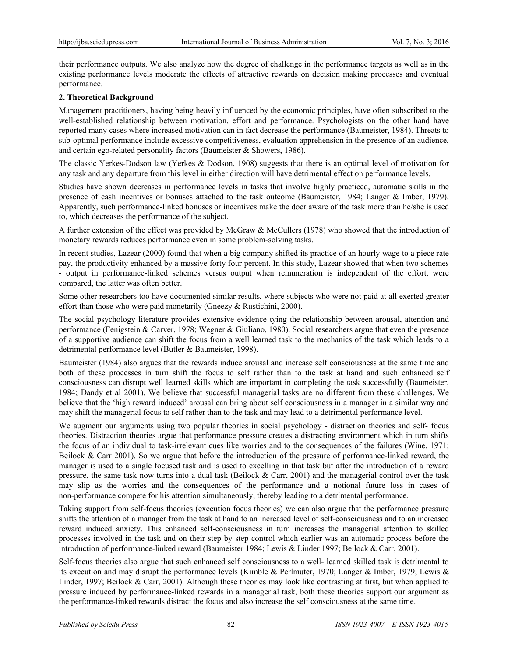their performance outputs. We also analyze how the degree of challenge in the performance targets as well as in the existing performance levels moderate the effects of attractive rewards on decision making processes and eventual performance.

## **2. Theoretical Background**

Management practitioners, having being heavily influenced by the economic principles, have often subscribed to the well-established relationship between motivation, effort and performance. Psychologists on the other hand have reported many cases where increased motivation can in fact decrease the performance (Baumeister, 1984). Threats to sub-optimal performance include excessive competitiveness, evaluation apprehension in the presence of an audience, and certain ego-related personality factors (Baumeister & Showers, 1986).

The classic Yerkes-Dodson law (Yerkes & Dodson, 1908) suggests that there is an optimal level of motivation for any task and any departure from this level in either direction will have detrimental effect on performance levels.

Studies have shown decreases in performance levels in tasks that involve highly practiced, automatic skills in the presence of cash incentives or bonuses attached to the task outcome (Baumeister, 1984; Langer & Imber, 1979). Apparently, such performance-linked bonuses or incentives make the doer aware of the task more than he/she is used to, which decreases the performance of the subject.

A further extension of the effect was provided by McGraw & McCullers (1978) who showed that the introduction of monetary rewards reduces performance even in some problem-solving tasks.

In recent studies, Lazear (2000) found that when a big company shifted its practice of an hourly wage to a piece rate pay, the productivity enhanced by a massive forty four percent. In this study, Lazear showed that when two schemes - output in performance-linked schemes versus output when remuneration is independent of the effort, were compared, the latter was often better.

Some other researchers too have documented similar results, where subjects who were not paid at all exerted greater effort than those who were paid monetarily (Gneezy & Rustichini, 2000).

The social psychology literature provides extensive evidence tying the relationship between arousal, attention and performance (Fenigstein & Carver, 1978; Wegner & Giuliano, 1980). Social researchers argue that even the presence of a supportive audience can shift the focus from a well learned task to the mechanics of the task which leads to a detrimental performance level (Butler & Baumeister, 1998).

Baumeister (1984) also argues that the rewards induce arousal and increase self consciousness at the same time and both of these processes in turn shift the focus to self rather than to the task at hand and such enhanced self consciousness can disrupt well learned skills which are important in completing the task successfully (Baumeister, 1984; Dandy et al 2001). We believe that successful managerial tasks are no different from these challenges. We believe that the 'high reward induced' arousal can bring about self consciousness in a manager in a similar way and may shift the managerial focus to self rather than to the task and may lead to a detrimental performance level.

We augment our arguments using two popular theories in social psychology - distraction theories and self- focus theories. Distraction theories argue that performance pressure creates a distracting environment which in turn shifts the focus of an individual to task-irrelevant cues like worries and to the consequences of the failures (Wine, 1971; Beilock & Carr 2001). So we argue that before the introduction of the pressure of performance-linked reward, the manager is used to a single focused task and is used to excelling in that task but after the introduction of a reward pressure, the same task now turns into a dual task (Beilock & Carr, 2001) and the managerial control over the task may slip as the worries and the consequences of the performance and a notional future loss in cases of non-performance compete for his attention simultaneously, thereby leading to a detrimental performance.

Taking support from self-focus theories (execution focus theories) we can also argue that the performance pressure shifts the attention of a manager from the task at hand to an increased level of self-consciousness and to an increased reward induced anxiety. This enhanced self-consciousness in turn increases the managerial attention to skilled processes involved in the task and on their step by step control which earlier was an automatic process before the introduction of performance-linked reward (Baumeister 1984; Lewis & Linder 1997; Beilock & Carr, 2001).

Self-focus theories also argue that such enhanced self consciousness to a well- learned skilled task is detrimental to its execution and may disrupt the performance levels (Kimble & Perlmuter, 1970; Langer & Imber, 1979; Lewis & Linder, 1997; Beilock & Carr, 2001). Although these theories may look like contrasting at first, but when applied to pressure induced by performance-linked rewards in a managerial task, both these theories support our argument as the performance-linked rewards distract the focus and also increase the self consciousness at the same time.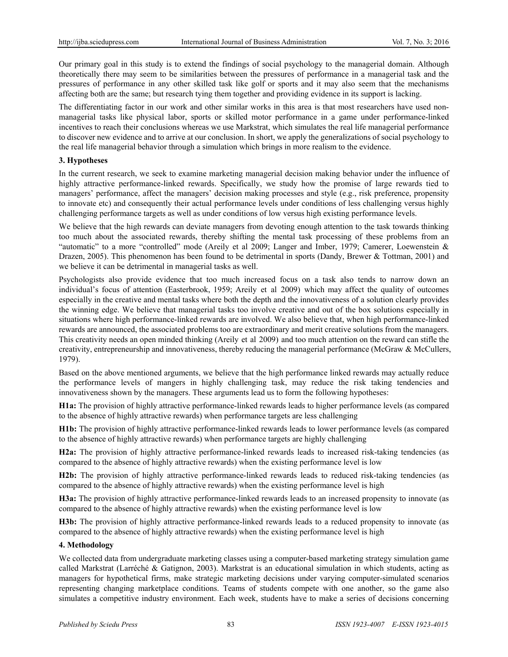Our primary goal in this study is to extend the findings of social psychology to the managerial domain. Although theoretically there may seem to be similarities between the pressures of performance in a managerial task and the pressures of performance in any other skilled task like golf or sports and it may also seem that the mechanisms affecting both are the same; but research tying them together and providing evidence in its support is lacking.

The differentiating factor in our work and other similar works in this area is that most researchers have used nonmanagerial tasks like physical labor, sports or skilled motor performance in a game under performance-linked incentives to reach their conclusions whereas we use Markstrat, which simulates the real life managerial performance to discover new evidence and to arrive at our conclusion. In short, we apply the generalizations of social psychology to the real life managerial behavior through a simulation which brings in more realism to the evidence.

# **3. Hypotheses**

In the current research, we seek to examine marketing managerial decision making behavior under the influence of highly attractive performance-linked rewards. Specifically, we study how the promise of large rewards tied to managers' performance, affect the managers' decision making processes and style (e.g., risk preference, propensity to innovate etc) and consequently their actual performance levels under conditions of less challenging versus highly challenging performance targets as well as under conditions of low versus high existing performance levels.

We believe that the high rewards can deviate managers from devoting enough attention to the task towards thinking too much about the associated rewards, thereby shifting the mental task processing of these problems from an "automatic" to a more "controlled" mode (Areily et al 2009; Langer and Imber, 1979; Camerer, Loewenstein & Drazen, 2005). This phenomenon has been found to be detrimental in sports (Dandy, Brewer & Tottman, 2001) and we believe it can be detrimental in managerial tasks as well.

Psychologists also provide evidence that too much increased focus on a task also tends to narrow down an individual's focus of attention (Easterbrook, 1959; Areily et al 2009) which may affect the quality of outcomes especially in the creative and mental tasks where both the depth and the innovativeness of a solution clearly provides the winning edge. We believe that managerial tasks too involve creative and out of the box solutions especially in situations where high performance-linked rewards are involved. We also believe that, when high performance-linked rewards are announced, the associated problems too are extraordinary and merit creative solutions from the managers. This creativity needs an open minded thinking (Areily et al 2009) and too much attention on the reward can stifle the creativity, entrepreneurship and innovativeness, thereby reducing the managerial performance (McGraw & McCullers, 1979).

Based on the above mentioned arguments, we believe that the high performance linked rewards may actually reduce the performance levels of mangers in highly challenging task, may reduce the risk taking tendencies and innovativeness shown by the managers. These arguments lead us to form the following hypotheses:

**H1a:** The provision of highly attractive performance-linked rewards leads to higher performance levels (as compared to the absence of highly attractive rewards) when performance targets are less challenging

**H1b:** The provision of highly attractive performance-linked rewards leads to lower performance levels (as compared to the absence of highly attractive rewards) when performance targets are highly challenging

**H2a:** The provision of highly attractive performance-linked rewards leads to increased risk-taking tendencies (as compared to the absence of highly attractive rewards) when the existing performance level is low

**H2b:** The provision of highly attractive performance-linked rewards leads to reduced risk-taking tendencies (as compared to the absence of highly attractive rewards) when the existing performance level is high

**H3a:** The provision of highly attractive performance-linked rewards leads to an increased propensity to innovate (as compared to the absence of highly attractive rewards) when the existing performance level is low

**H3b:** The provision of highly attractive performance-linked rewards leads to a reduced propensity to innovate (as compared to the absence of highly attractive rewards) when the existing performance level is high

## **4. Methodology**

We collected data from undergraduate marketing classes using a computer-based marketing strategy simulation game called Markstrat (Larréché & Gatignon, 2003). Markstrat is an educational simulation in which students, acting as managers for hypothetical firms, make strategic marketing decisions under varying computer-simulated scenarios representing changing marketplace conditions. Teams of students compete with one another, so the game also simulates a competitive industry environment. Each week, students have to make a series of decisions concerning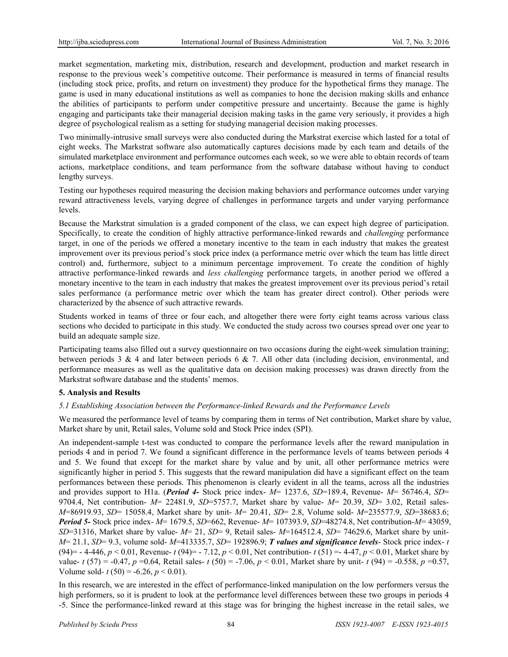market segmentation, marketing mix, distribution, research and development, production and market research in response to the previous week's competitive outcome. Their performance is measured in terms of financial results (including stock price, profits, and return on investment) they produce for the hypothetical firms they manage. The game is used in many educational institutions as well as companies to hone the decision making skills and enhance the abilities of participants to perform under competitive pressure and uncertainty. Because the game is highly engaging and participants take their managerial decision making tasks in the game very seriously, it provides a high degree of psychological realism as a setting for studying managerial decision making processes.

Two minimally-intrusive small surveys were also conducted during the Markstrat exercise which lasted for a total of eight weeks. The Markstrat software also automatically captures decisions made by each team and details of the simulated marketplace environment and performance outcomes each week, so we were able to obtain records of team actions, marketplace conditions, and team performance from the software database without having to conduct lengthy surveys.

Testing our hypotheses required measuring the decision making behaviors and performance outcomes under varying reward attractiveness levels, varying degree of challenges in performance targets and under varying performance levels.

Because the Markstrat simulation is a graded component of the class, we can expect high degree of participation. Specifically, to create the condition of highly attractive performance-linked rewards and *challenging* performance target, in one of the periods we offered a monetary incentive to the team in each industry that makes the greatest improvement over its previous period's stock price index (a performance metric over which the team has little direct control) and, furthermore, subject to a minimum percentage improvement. To create the condition of highly attractive performance-linked rewards and *less challenging* performance targets, in another period we offered a monetary incentive to the team in each industry that makes the greatest improvement over its previous period's retail sales performance (a performance metric over which the team has greater direct control). Other periods were characterized by the absence of such attractive rewards.

Students worked in teams of three or four each, and altogether there were forty eight teams across various class sections who decided to participate in this study. We conducted the study across two courses spread over one year to build an adequate sample size.

Participating teams also filled out a survey questionnaire on two occasions during the eight-week simulation training; between periods 3 & 4 and later between periods 6 & 7. All other data (including decision, environmental, and performance measures as well as the qualitative data on decision making processes) was drawn directly from the Markstrat software database and the students' memos.

## **5. Analysis and Results**

# *5.1 Establishing Association between the Performance-linked Rewards and the Performance Levels*

We measured the performance level of teams by comparing them in terms of Net contribution, Market share by value, Market share by unit, Retail sales, Volume sold and Stock Price index (SPI).

An independent-sample t-test was conducted to compare the performance levels after the reward manipulation in periods 4 and in period 7. We found a significant difference in the performance levels of teams between periods 4 and 5. We found that except for the market share by value and by unit, all other performance metrics were significantly higher in period 5. This suggests that the reward manipulation did have a significant effect on the team performances between these periods. This phenomenon is clearly evident in all the teams, across all the industries and provides support to H1a. (*Period 4***-** Stock price index- *M*= 1237.6, *SD*=189.4, Revenue- *M*= 56746.4, *SD*= 9704.4, Net contribution- *M*= 22481.9, *SD*=5757.7, Market share by value- *M*= 20.39, *SD*= 3.02, Retail sales-*M*=86919.93, *SD*= 15058.4, Market share by unit- *M*= 20.41, *SD*= 2.8, Volume sold- *M*=235577.9, *SD*=38683.6; *Period 5-* Stock price index- *M*= 1679.5, *SD*=662, Revenue- *M*= 107393.9, *SD*=48274.8, Net contribution-*M*= 43059, *SD*=31316, Market share by value- *M*= 21, *SD*= 9, Retail sales- *M*=164512.4, *SD*= 74629.6, Market share by unit- $M=21.1$ , *SD*= 9.3, volume sold- $M=413335.7$ , *SD*= 192896.9; *T* values and significance levels- Stock price index-t (94) = - 4-446,  $p < 0.01$ , Revenue- *t* (94) = - 7.12,  $p < 0.01$ , Net contribution- *t* (51) = - 4-47,  $p < 0.01$ , Market share by value- *t* (57) = -0.47, *p* =0.64, Retail sales- *t* (50) = -7.06, *p* < 0.01, Market share by unit- *t* (94) = -0.558, *p* =0.57, Volume sold-  $t(50) = -6.26$ ,  $p < 0.01$ ).

In this research, we are interested in the effect of performance-linked manipulation on the low performers versus the high performers, so it is prudent to look at the performance level differences between these two groups in periods 4 -5. Since the performance-linked reward at this stage was for bringing the highest increase in the retail sales, we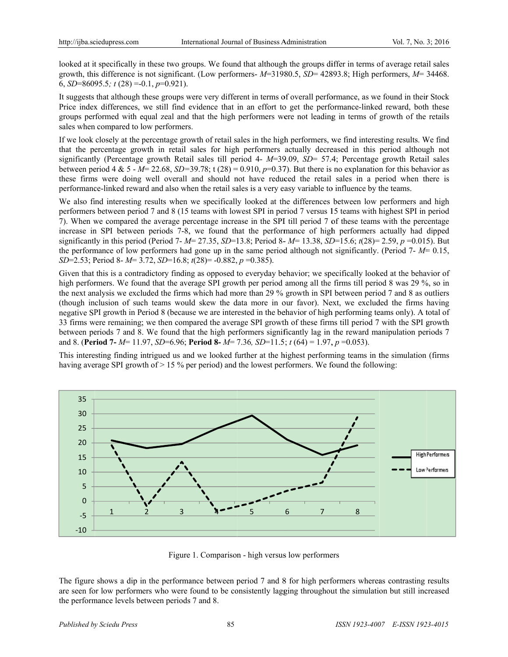looked at it specifically in these two groups. We found that although the groups differ in terms of average retail sales growth, this difference is not significant. (Low performers-  $M=31980.5$ ,  $SD=42893.8$ ; High performers,  $M=34468$ . 6, *SD*=86095.5;  $t$  (28) =-0.1,  $p=0.921$ ).

It suggests that although these groups were very different in terms of overall performance, as we found in their Stock Price index differences, we still find evidence that in an effort to get the performance-linked reward, both these groups performed with equal zeal and that the high performers were not leading in terms of growth of the retails sales when compared to low performers.

If we look closely at the percentage growth of retail sales in the high performers, we find interesting results. We find that the percentage growth in retail sales for high performers actually decreased in this period although not significantly (Percentage growth Retail sales till period  $4 - M = 39.09$ ,  $SD = 57.4$ ; Percentage growth Retail sales between period 4 & 5 -  $M= 22.68$ ,  $SD=39.78$ ; t (28) = 0.910,  $p=0.37$ ). But there is no explanation for this behavior as these firms were doing well overall and should not have reduced the retail sales in a period when there is performance-linked reward and also when the retail sales is a very easy variable to influence by the teams.

We also find interesting results when we specifically looked at the differences between low performers and high performers between period 7 and 8 (15 teams with lowest SPI in period 7 versus 15 teams with highest SPI in period 7). When we compared the average percentage increase in the SPI till period 7 of these teams with the percentage increase in SPI between periods 7-8, we found that the performance of high performers actually had dipped significantly in this period (Period 7-  $M= 27.35$ , *SD*=13.8; Period 8-  $M= 13.38$ , *SD*=15.6;  $t(28)=2.59$ ,  $p=0.015$ ). But the performance of low performers had gone up in the same period although not significantly. (Period 7- $M=0.15$ , *SD*=2.53; Period 8- *M*= 3.72, *SD*=16.8;  $t(28)$ = -0.882,  $p$  =0.385).

Given that this is a contradictory finding as opposed to everyday behavior; we specifically looked at the behavior of high performers. We found that the average SPI growth per period among all the firms till period 8 was 29 %, so in the next analysis we excluded the firms which had more than 29 % growth in SPI between period 7 and 8 as outliers (though inclusion of such teams would skew the data more in our favor). Next, we excluded the firms having negative SPI growth in Period 8 (because we are interested in the behavior of high performing teams only). A total of 33 firms were remaining; we then compared the average SPI growth of these firms till period 7 with the SPI growth between periods 7 and 8. We found that the high performers significantly lag in the reward manipulation periods 7 and 8. (Period 7- *M*= 11.97, *SD*=6.96; Period 8- *M*= 7.36, *SD*=11.5; *t* (64) = 1.97, *p* =0.053).

This interesting finding intrigued us and we looked further at the highest performing teams in the simulation (firms having average SPI growth of > 15 % per period) and the lowest performers. We found the following:



Figure 1. Comparison - high versus low performers

The figure shows a dip in the performance between period 7 and 8 for high performers whereas contrasting results are seen for low performers who were found to be consistently lagging throughout the simulation but still increased the performance levels between periods 7 and 8.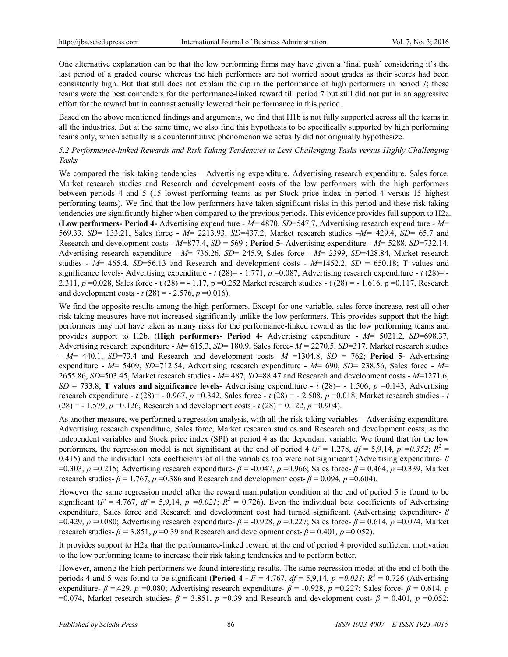One alternative explanation can be that the low performing firms may have given a 'final push' considering it's the last period of a graded course whereas the high performers are not worried about grades as their scores had been consistently high. But that still does not explain the dip in the performance of high performers in period 7; these teams were the best contenders for the performance-linked reward till period 7 but still did not put in an aggressive effort for the reward but in contrast actually lowered their performance in this period.

Based on the above mentioned findings and arguments, we find that H1b is not fully supported across all the teams in all the industries. But at the same time, we also find this hypothesis to be specifically supported by high performing teams only, which actually is a counterintuitive phenomenon we actually did not originally hypothesize.

## *5.2 Performance-linked Rewards and Risk Taking Tendencies in Less Challenging Tasks versus Highly Challenging Tasks*

We compared the risk taking tendencies – Advertising expenditure, Advertising research expenditure, Sales force, Market research studies and Research and development costs of the low performers with the high performers between periods 4 and 5 (15 lowest performing teams as per Stock price index in period 4 versus 15 highest performing teams). We find that the low performers have taken significant risks in this period and these risk taking tendencies are significantly higher when compared to the previous periods. This evidence provides full support to H2a. (**Low performers- Period 4-** Advertising expenditure - *M*= 4870, *SD*=547.7, Advertising research expenditure - *M*= 569.33, *SD*= 133.21, Sales force - *M*= 2213.93, *SD*=437.2, Market research studies –*M=* 429.4, *SD*= 65.7 and Research and development costs - *M*=877.4, *SD* = 569 ; **Period 5-** Advertising expenditure - *M*= 5288, *SD*=732.14, Advertising research expenditure - *M*= 736.26*, SD*= 245.9, Sales force - *M*= 2399, *SD*=428.84, Market research studies -  $M=$  465.4, *SD*=56.13 and Research and development costs -  $M=1452.2$ , *SD* = 650.18; T values and significance levels- Advertising expenditure -  $t$  (28)= - 1.771,  $p = 0.087$ , Advertising research expenditure -  $t$  (28)= -2.311, *p* =0.028, Sales force - t (28) = - 1.17, p =0.252 Market research studies - t (28) = - 1.616, p =0.117, Research and development costs -  $t(28) = -2.576$ ,  $p = 0.016$ .

We find the opposite results among the high performers. Except for one variable, sales force increase, rest all other risk taking measures have not increased significantly unlike the low performers. This provides support that the high performers may not have taken as many risks for the performance-linked reward as the low performing teams and provides support to H2b. (**High performers- Period 4-** Advertising expenditure - *M*= 5021.2, *SD*=698.37, Advertising research expenditure - *M*= 615.3, *SD*= 180.9, Sales force- *M* = 2270.5, *SD*=317, Market research studies - *M*= 440.1, *SD*=73.4 and Research and development costs- *M* =1304.8, *SD* = 762; **Period 5-** Advertising expenditure - *M*= 5409, *SD*=712.54, Advertising research expenditure - *M*= 690, *SD*= 238.56, Sales force - *M*= 2655.86, *SD*=503.45, Market research studies - *M*= 487, *SD*=88.47 and Research and development costs - *M*=1271.6, *SD* = 733.8; **T values and significance levels**- Advertising expenditure - *t* (28)= - 1.506, *p* =0.143, Advertising research expenditure - *t* (28) = - 0.967, *p* = 0.342, Sales force - *t* (28) = - 2.508, *p* = 0.018, Market research studies - *t*  $(28) = -1.579$ ,  $p = 0.126$ , Research and development costs  $- t (28) = 0.122$ ,  $p = 0.904$ ).

As another measure, we performed a regression analysis, with all the risk taking variables – Advertising expenditure, Advertising research expenditure, Sales force, Market research studies and Research and development costs, as the independent variables and Stock price index (SPI) at period 4 as the dependant variable. We found that for the low performers, the regression model is not significant at the end of period 4 ( $F = 1.278$ ,  $df = 5.9,14$ ,  $p = 0.352$ ;  $R^2 =$ 0.415) and the individual beta coefficients of all the variables too were not significant (Advertising expenditure- *β* =0.303, *p* =0.215; Advertising research expenditure- *β* = -0.047, *p* =0.966; Sales force- *β* = 0.464, *p* =0.339, Market research studies-  $β = 1.767$ ,  $p = 0.386$  and Research and development cost-  $β = 0.094$ ,  $p = 0.604$ ).

However the same regression model after the reward manipulation condition at the end of period 5 is found to be significant ( $F = 4.767$ ,  $df = 5.9,14$ ,  $p = 0.021$ ;  $R^2 = 0.726$ ). Even the individual beta coefficients of Advertising expenditure, Sales force and Research and development cost had turned significant. (Advertising expenditure- *β* =0.429, *p* =0.080; Advertising research expenditure*- β* = -0.928, *p* =0.227; Sales force*- β* = 0.614*, p* =0.074, Market research studies-  $\beta$  = 3.851, *p* = 0.39 and Research and development cost-  $\beta$  = 0.401, *p* = 0.052).

It provides support to H2a that the performance-linked reward at the end of period 4 provided sufficient motivation to the low performing teams to increase their risk taking tendencies and to perform better.

However, among the high performers we found interesting results. The same regression model at the end of both the periods 4 and 5 was found to be significant (**Period 4** -  $F = 4.767$ ,  $df = 5.9,14$ ,  $p = 0.021$ ;  $R^2 = 0.726$  (Advertising expenditure-  $\beta$  =.429,  $p$  =0.080; Advertising research expenditure-  $\beta$  = -0.928,  $p$  =0.227; Sales force-  $\beta$  = 0.614,  $p$ =0.074, Market research studies- *β* = 3.851, *p* =0.39 and Research and development cost- *β* = 0.401*, p* =0.052;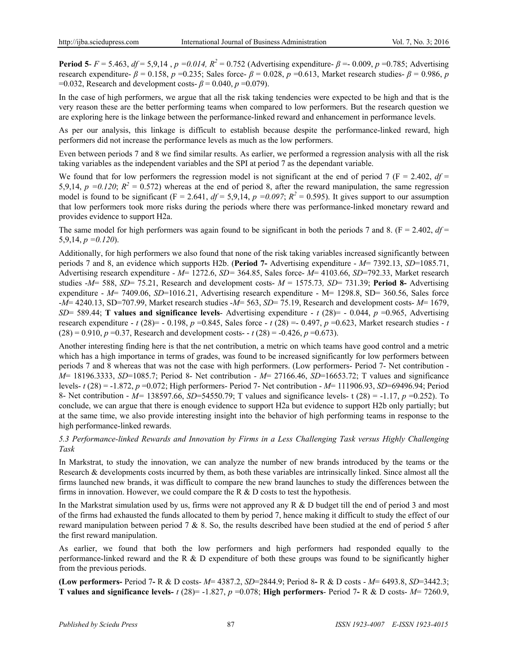**Period 5-**  $F = 5.463$ ,  $df = 5.9,14$ ,  $p = 0.014$ ,  $R^2 = 0.752$  (Advertising expenditure-  $\beta = 0.009$ ,  $p = 0.785$ ; Advertising research expenditure-  $\beta$  = 0.158, *p* =0.235; Sales force-  $\beta$  = 0.028, *p* =0.613, Market research studies-  $\beta$  = 0.986, *p* =0.032, Research and development costs-  $\beta$  = 0.040, *p* = 0.079).

In the case of high performers, we argue that all the risk taking tendencies were expected to be high and that is the very reason these are the better performing teams when compared to low performers. But the research question we are exploring here is the linkage between the performance-linked reward and enhancement in performance levels.

As per our analysis, this linkage is difficult to establish because despite the performance-linked reward, high performers did not increase the performance levels as much as the low performers.

Even between periods 7 and 8 we find similar results. As earlier, we performed a regression analysis with all the risk taking variables as the independent variables and the SPI at period 7 as the dependant variable.

We found that for low performers the regression model is not significant at the end of period 7 ( $F = 2.402$ ,  $df =$ 5,9,14,  $p = 0.120$ ;  $R^2 = 0.572$ ) whereas at the end of period 8, after the reward manipulation, the same regression model is found to be significant ( $F = 2.641$ ,  $df = 5.9,14$ ,  $p = 0.097$ ;  $R^2 = 0.595$ ). It gives support to our assumption that low performers took more risks during the periods where there was performance-linked monetary reward and provides evidence to support H2a.

The same model for high performers was again found to be significant in both the periods 7 and 8. ( $F = 2.402$ ,  $df =$ 5,9,14, *p =0.120*).

Additionally, for high performers we also found that none of the risk taking variables increased significantly between periods 7 and 8, an evidence which supports H2b. (**Period 7-** Advertising expenditure - *M*= 7392.13, *SD*=1085.71, Advertising research expenditure *- M*= 1272.6, *SD=* 364.85, Sales force- *M*= 4103.66, *SD*=792.33, Market research studies -*M*= 588, *SD*= 75.21, Research and development costs- *M* = 1575.73*, SD*= 731.39; **Period 8-** Advertising expenditure -  $M= 7409.06$ , *SD*=1016.21, Advertising research expenditure - M= 1298.8, SD= 360.56, Sales force -*M*= 4240.13, SD=707.99, Market research studies -*M*= 563, *SD*= 75.19, Research and development costs- *M*= 1679, *SD*= 589.44; **T values and significance levels**- Advertising expenditure -  $t$  (28)= - 0.044,  $p$  =0.965, Advertising research expenditure - *t* (28) = - 0.198, *p* =0.845, Sales force - *t* (28) = - 0.497, *p* =0.623, Market research studies - *t*  $(28) = 0.910$ ,  $p = 0.37$ , Research and development costs- - *t* (28) = -0.426,  $p = 0.673$ ).

Another interesting finding here is that the net contribution, a metric on which teams have good control and a metric which has a high importance in terms of grades, was found to be increased significantly for low performers between periods 7 and 8 whereas that was not the case with high performers. (Low performers- Period 7- Net contribution - *M*= 18196.3333, *SD*=1085.7; Period 8- Net contribution *- M*= 27166.46, *SD*=16653.72; T values and significance levels- *t* (28) = -1.872, *p* =0.072; High performers- Period 7- Net contribution - *M*= 111906.93, *SD*=69496.94; Period 8- Net contribution - *M=* 138597.66, *SD*=54550.79; T values and significance levels- t (28) = -1.17, *p* =0.252). To conclude, we can argue that there is enough evidence to support H2a but evidence to support H2b only partially; but at the same time, we also provide interesting insight into the behavior of high performing teams in response to the high performance-linked rewards.

## *5.3 Performance-linked Rewards and Innovation by Firms in a Less Challenging Task versus Highly Challenging Task*

In Markstrat, to study the innovation, we can analyze the number of new brands introduced by the teams or the Research & developments costs incurred by them, as both these variables are intrinsically linked. Since almost all the firms launched new brands, it was difficult to compare the new brand launches to study the differences between the firms in innovation. However, we could compare the R  $\&$  D costs to test the hypothesis.

In the Markstrat simulation used by us, firms were not approved any R & D budget till the end of period 3 and most of the firms had exhausted the funds allocated to them by period 7, hence making it difficult to study the effect of our reward manipulation between period 7 & 8. So, the results described have been studied at the end of period 5 after the first reward manipulation.

As earlier, we found that both the low performers and high performers had responded equally to the performance-linked reward and the R & D expenditure of both these groups was found to be significantly higher from the previous periods.

**(Low performers-** Period 7**-** R & D costs- *M*= 4387.2, *SD*=2844.9; Period 8**-** R & D costs - *M*= 6493.8, *SD*=3442.3; **T** values and significance levels-  $t$  (28)= -1.827,  $p = 0.078$ ; High performers- Period 7- R & D costs-  $M= 7260.9$ ,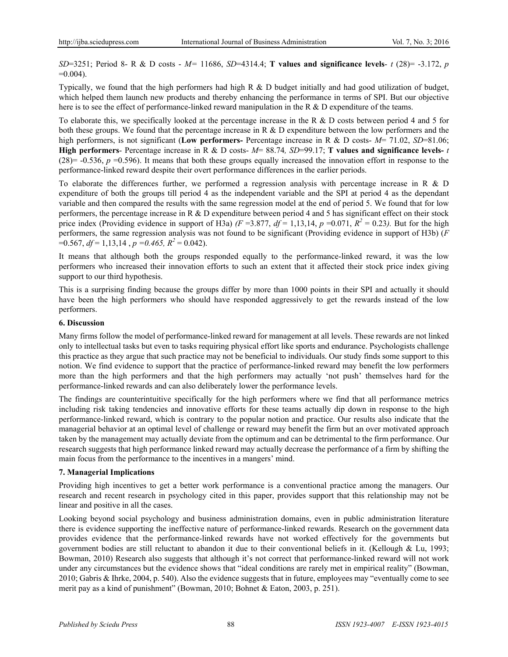*SD*=3251; Period 8- R & D costs - *M=* 11686, *SD*=4314.4; **T values and significance levels**- *t* (28)= -3.172, *p*  $=0.004$ ).

Typically, we found that the high performers had high R & D budget initially and had good utilization of budget, which helped them launch new products and thereby enhancing the performance in terms of SPI. But our objective here is to see the effect of performance-linked reward manipulation in the R & D expenditure of the teams.

To elaborate this, we specifically looked at the percentage increase in the R & D costs between period 4 and 5 for both these groups. We found that the percentage increase in R & D expenditure between the low performers and the high performers, is not significant (**Low performers**- Percentage increase in R & D costs-  $M= 71.02$ , *SD*=81.06; **High performers**- Percentage increase in R & D costs- *M*= 88.74*, SD*=99.17; **T values and significance levels-** *t* (28)=  $-0.536$ ,  $p = 0.596$ ). It means that both these groups equally increased the innovation effort in response to the performance-linked reward despite their overt performance differences in the earlier periods.

To elaborate the differences further, we performed a regression analysis with percentage increase in R & D expenditure of both the groups till period 4 as the independent variable and the SPI at period 4 as the dependant variable and then compared the results with the same regression model at the end of period 5. We found that for low performers, the percentage increase in R & D expenditure between period 4 and 5 has significant effect on their stock price index (Providing evidence in support of H3a)  $(F=3.877, df=1,13,14, p=0.071, R^2=0.23)$ . But for the high performers, the same regression analysis was not found to be significant (Providing evidence in support of H3b) (*F*   $=0.567, df = 1,13,14, p = 0.465, R^2 = 0.042$ .

It means that although both the groups responded equally to the performance-linked reward, it was the low performers who increased their innovation efforts to such an extent that it affected their stock price index giving support to our third hypothesis.

This is a surprising finding because the groups differ by more than 1000 points in their SPI and actually it should have been the high performers who should have responded aggressively to get the rewards instead of the low performers.

## **6. Discussion**

Many firms follow the model of performance-linked reward for management at all levels. These rewards are not linked only to intellectual tasks but even to tasks requiring physical effort like sports and endurance. Psychologists challenge this practice as they argue that such practice may not be beneficial to individuals. Our study finds some support to this notion. We find evidence to support that the practice of performance-linked reward may benefit the low performers more than the high performers and that the high performers may actually 'not push' themselves hard for the performance-linked rewards and can also deliberately lower the performance levels.

The findings are counterintuitive specifically for the high performers where we find that all performance metrics including risk taking tendencies and innovative efforts for these teams actually dip down in response to the high performance-linked reward, which is contrary to the popular notion and practice. Our results also indicate that the managerial behavior at an optimal level of challenge or reward may benefit the firm but an over motivated approach taken by the management may actually deviate from the optimum and can be detrimental to the firm performance. Our research suggests that high performance linked reward may actually decrease the performance of a firm by shifting the main focus from the performance to the incentives in a mangers' mind.

## **7. Managerial Implications**

Providing high incentives to get a better work performance is a conventional practice among the managers. Our research and recent research in psychology cited in this paper, provides support that this relationship may not be linear and positive in all the cases.

Looking beyond social psychology and business administration domains, even in public administration literature there is evidence supporting the ineffective nature of performance-linked rewards. Research on the government data provides evidence that the performance-linked rewards have not worked effectively for the governments but government bodies are still reluctant to abandon it due to their conventional beliefs in it. (Kellough & Lu, 1993; Bowman, 2010) Research also suggests that although it's not correct that performance-linked reward will not work under any circumstances but the evidence shows that "ideal conditions are rarely met in empirical reality" (Bowman, 2010; Gabris & Ihrke, 2004, p. 540). Also the evidence suggests that in future, employees may "eventually come to see merit pay as a kind of punishment" (Bowman, 2010; Bohnet & Eaton, 2003, p. 251).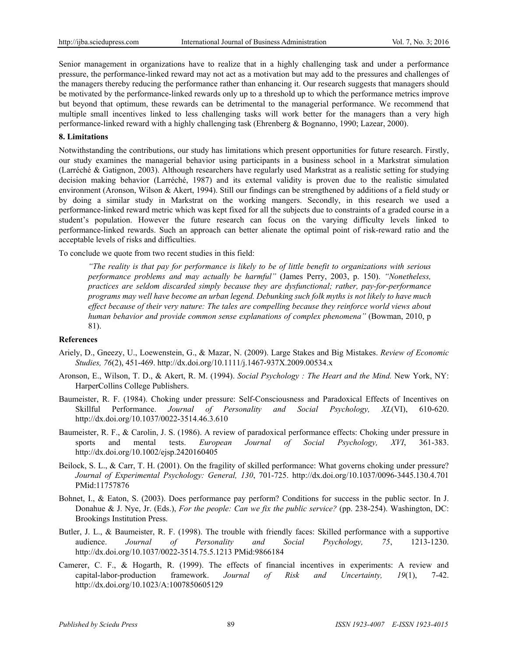Senior management in organizations have to realize that in a highly challenging task and under a performance pressure, the performance-linked reward may not act as a motivation but may add to the pressures and challenges of the managers thereby reducing the performance rather than enhancing it. Our research suggests that managers should be motivated by the performance-linked rewards only up to a threshold up to which the performance metrics improve but beyond that optimum, these rewards can be detrimental to the managerial performance. We recommend that multiple small incentives linked to less challenging tasks will work better for the managers than a very high performance-linked reward with a highly challenging task (Ehrenberg & Bognanno, 1990; Lazear, 2000).

### **8. Limitations**

Notwithstanding the contributions, our study has limitations which present opportunities for future research. Firstly, our study examines the managerial behavior using participants in a business school in a Markstrat simulation (Larréché & Gatignon, 2003). Although researchers have regularly used Markstrat as a realistic setting for studying decision making behavior (Larréché, 1987) and its external validity is proven due to the realistic simulated environment (Aronson, Wilson & Akert, 1994). Still our findings can be strengthened by additions of a field study or by doing a similar study in Markstrat on the working mangers. Secondly, in this research we used a performance-linked reward metric which was kept fixed for all the subjects due to constraints of a graded course in a student's population. However the future research can focus on the varying difficulty levels linked to performance-linked rewards. Such an approach can better alienate the optimal point of risk-reward ratio and the acceptable levels of risks and difficulties.

To conclude we quote from two recent studies in this field:

*"The reality is that pay for performance is likely to be of little benefit to organizations with serious performance problems and may actually be harmful"* (James Perry, 2003, p. 150). *"Nonetheless, practices are seldom discarded simply because they are dysfunctional; rather, pay-for-performance programs may well have become an urban legend. Debunking such folk myths is not likely to have much effect because of their very nature: The tales are compelling because they reinforce world views about human behavior and provide common sense explanations of complex phenomena"* (Bowman, 2010, p 81).

#### **References**

- Ariely, D., Gneezy, U., Loewenstein, G., & Mazar, N. (2009). Large Stakes and Big Mistakes. *Review of Economic Studies, 76*(2), 451-469. http://dx.doi.org/10.1111/j.1467-937X.2009.00534.x
- Aronson, E., Wilson, T. D., & Akert, R. M. (1994). *Social Psychology : The Heart and the Mind.* New York, NY: HarperCollins College Publishers.
- Baumeister, R. F. (1984). Choking under pressure: Self-Consciousness and Paradoxical Effects of Incentives on Skillful Performance. *Journal of Personality and Social Psychology, XL*(VI), 610-620. http://dx.doi.org/10.1037/0022-3514.46.3.610
- Baumeister, R. F., & Carolin, J. S. (1986). A review of paradoxical performance effects: Choking under pressure in sports and mental tests. *European Journal of Social Psychology, XVI*, 361-383. http://dx.doi.org/10.1002/ejsp.2420160405
- Beilock, S. L., & Carr, T. H. (2001). On the fragility of skilled performance: What governs choking under pressure? *Journal of Experimental Psychology: General, 130*, 701-725. http://dx.doi.org/10.1037/0096-3445.130.4.701 PMid:11757876
- Bohnet, I., & Eaton, S. (2003). Does performance pay perform? Conditions for success in the public sector. In J. Donahue & J. Nye, Jr. (Eds.), *For the people: Can we fix the public service?* (pp. 238-254). Washington, DC: Brookings Institution Press.
- Butler, J. L., & Baumeister, R. F. (1998). The trouble with friendly faces: Skilled performance with a supportive audience. *Journal of Personality and Social Psychology, 75*, 1213-1230. http://dx.doi.org/10.1037/0022-3514.75.5.1213 PMid:9866184
- Camerer, C. F., & Hogarth, R. (1999). The effects of financial incentives in experiments: A review and capital-labor-production framework. *Journal of Risk and Uncertainty, 19*(1), 7-42. http://dx.doi.org/10.1023/A:1007850605129